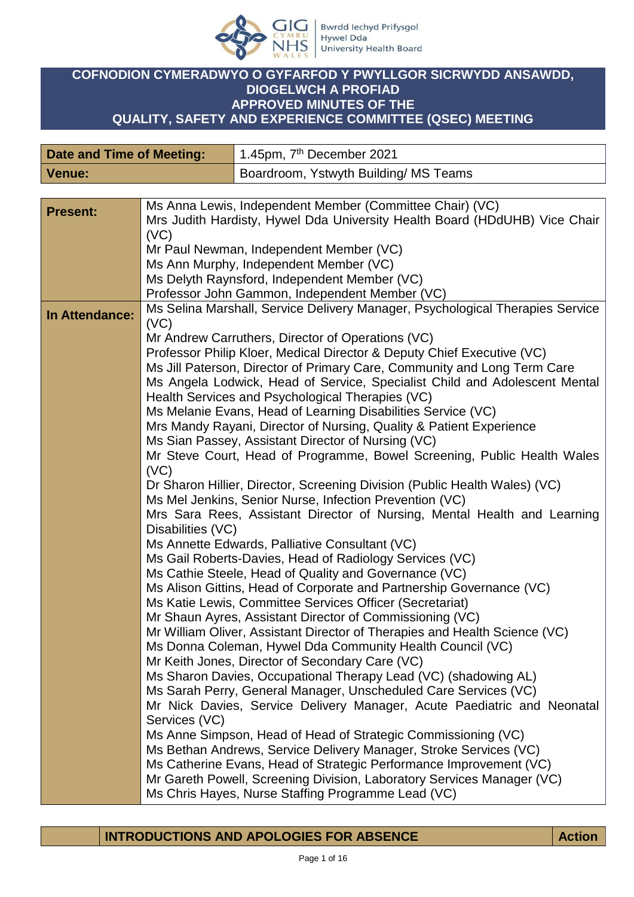

## **COFNODION CYMERADWYO O GYFARFOD Y PWYLLGOR SICRWYDD ANSAWDD, DIOGELWCH A PROFIAD APPROVED MINUTES OF THE QUALITY, SAFETY AND EXPERIENCE COMMITTEE (QSEC) MEETING**

| Boardroom, Ystwyth Building/ MS Teams<br><b>Venue:</b><br>Ms Anna Lewis, Independent Member (Committee Chair) (VC)<br><b>Present:</b><br>Mrs Judith Hardisty, Hywel Dda University Health Board (HDdUHB) Vice Chair<br>(VC)<br>Mr Paul Newman, Independent Member (VC)<br>Ms Ann Murphy, Independent Member (VC)<br>Ms Delyth Raynsford, Independent Member (VC)<br>Professor John Gammon, Independent Member (VC)<br>Ms Selina Marshall, Service Delivery Manager, Psychological Therapies Service<br>In Attendance:<br>(VC)<br>Mr Andrew Carruthers, Director of Operations (VC)<br>Professor Philip Kloer, Medical Director & Deputy Chief Executive (VC)<br>Ms Jill Paterson, Director of Primary Care, Community and Long Term Care<br>Ms Angela Lodwick, Head of Service, Specialist Child and Adolescent Mental<br>Health Services and Psychological Therapies (VC)                                                                                                                                                                                                                                                                                                                                                                                                                                                                                                                                                                                                                                                                                                                               | <b>Date and Time of Meeting:</b> |  | 1.45pm, 7 <sup>th</sup> December 2021                        |
|----------------------------------------------------------------------------------------------------------------------------------------------------------------------------------------------------------------------------------------------------------------------------------------------------------------------------------------------------------------------------------------------------------------------------------------------------------------------------------------------------------------------------------------------------------------------------------------------------------------------------------------------------------------------------------------------------------------------------------------------------------------------------------------------------------------------------------------------------------------------------------------------------------------------------------------------------------------------------------------------------------------------------------------------------------------------------------------------------------------------------------------------------------------------------------------------------------------------------------------------------------------------------------------------------------------------------------------------------------------------------------------------------------------------------------------------------------------------------------------------------------------------------------------------------------------------------------------------------------|----------------------------------|--|--------------------------------------------------------------|
|                                                                                                                                                                                                                                                                                                                                                                                                                                                                                                                                                                                                                                                                                                                                                                                                                                                                                                                                                                                                                                                                                                                                                                                                                                                                                                                                                                                                                                                                                                                                                                                                          |                                  |  |                                                              |
|                                                                                                                                                                                                                                                                                                                                                                                                                                                                                                                                                                                                                                                                                                                                                                                                                                                                                                                                                                                                                                                                                                                                                                                                                                                                                                                                                                                                                                                                                                                                                                                                          |                                  |  |                                                              |
|                                                                                                                                                                                                                                                                                                                                                                                                                                                                                                                                                                                                                                                                                                                                                                                                                                                                                                                                                                                                                                                                                                                                                                                                                                                                                                                                                                                                                                                                                                                                                                                                          |                                  |  |                                                              |
| Mrs Mandy Rayani, Director of Nursing, Quality & Patient Experience<br>Ms Sian Passey, Assistant Director of Nursing (VC)<br>Mr Steve Court, Head of Programme, Bowel Screening, Public Health Wales<br>(VC)<br>Dr Sharon Hillier, Director, Screening Division (Public Health Wales) (VC)<br>Ms Mel Jenkins, Senior Nurse, Infection Prevention (VC)<br>Mrs Sara Rees, Assistant Director of Nursing, Mental Health and Learning<br>Disabilities (VC)<br>Ms Annette Edwards, Palliative Consultant (VC)<br>Ms Gail Roberts-Davies, Head of Radiology Services (VC)<br>Ms Cathie Steele, Head of Quality and Governance (VC)<br>Ms Alison Gittins, Head of Corporate and Partnership Governance (VC)<br>Ms Katie Lewis, Committee Services Officer (Secretariat)<br>Mr Shaun Ayres, Assistant Director of Commissioning (VC)<br>Mr William Oliver, Assistant Director of Therapies and Health Science (VC)<br>Ms Donna Coleman, Hywel Dda Community Health Council (VC)<br>Mr Keith Jones, Director of Secondary Care (VC)<br>Ms Sharon Davies, Occupational Therapy Lead (VC) (shadowing AL)<br>Ms Sarah Perry, General Manager, Unscheduled Care Services (VC)<br>Mr Nick Davies, Service Delivery Manager, Acute Paediatric and Neonatal<br>Services (VC)<br>Ms Anne Simpson, Head of Head of Strategic Commissioning (VC)<br>Ms Bethan Andrews, Service Delivery Manager, Stroke Services (VC)<br>Ms Catherine Evans, Head of Strategic Performance Improvement (VC)<br>Mr Gareth Powell, Screening Division, Laboratory Services Manager (VC)<br>Ms Chris Hayes, Nurse Staffing Programme Lead (VC) |                                  |  | Ms Melanie Evans, Head of Learning Disabilities Service (VC) |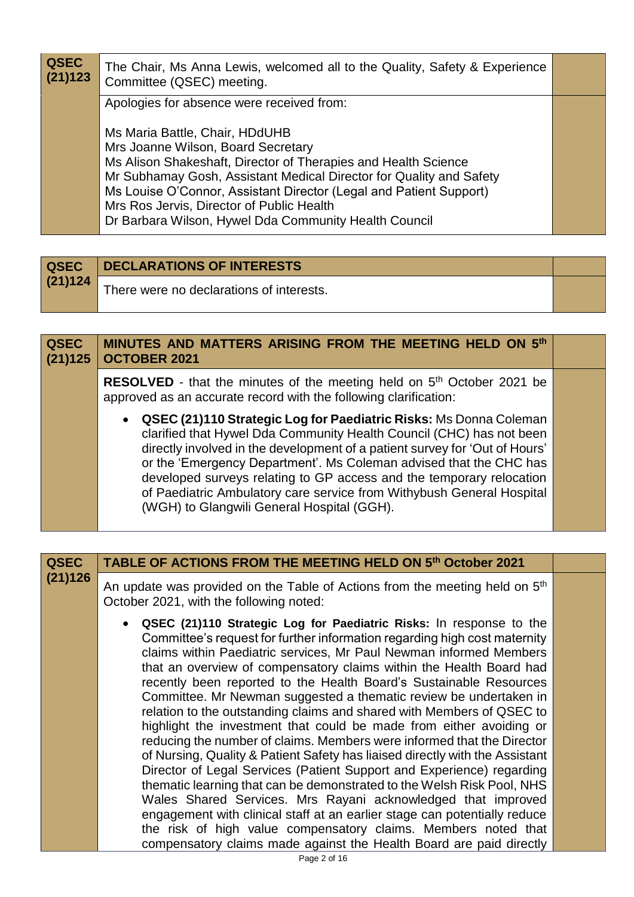| <b>QSEC</b><br>(21)123 | The Chair, Ms Anna Lewis, welcomed all to the Quality, Safety & Experience<br>Committee (QSEC) meeting.                                                                                                                                                                                                                                                                                                                                |  |
|------------------------|----------------------------------------------------------------------------------------------------------------------------------------------------------------------------------------------------------------------------------------------------------------------------------------------------------------------------------------------------------------------------------------------------------------------------------------|--|
|                        | Apologies for absence were received from:<br>Ms Maria Battle, Chair, HDdUHB<br>Mrs Joanne Wilson, Board Secretary<br>Ms Alison Shakeshaft, Director of Therapies and Health Science<br>Mr Subhamay Gosh, Assistant Medical Director for Quality and Safety<br>Ms Louise O'Connor, Assistant Director (Legal and Patient Support)<br>Mrs Ros Jervis, Director of Public Health<br>Dr Barbara Wilson, Hywel Dda Community Health Council |  |

| <b>QSEC</b> | DECLARATIONS OF INTERESTS                |  |
|-------------|------------------------------------------|--|
| (21)124     | There were no declarations of interests. |  |

| <b>QSEC</b><br>(21)125 | MINUTES AND MATTERS ARISING FROM THE MEETING HELD ON 5th<br><b>OCTOBER 2021</b>                                                                                                                                                                                                                                                                                                                                                                                                                 |  |
|------------------------|-------------------------------------------------------------------------------------------------------------------------------------------------------------------------------------------------------------------------------------------------------------------------------------------------------------------------------------------------------------------------------------------------------------------------------------------------------------------------------------------------|--|
|                        | <b>RESOLVED</b> - that the minutes of the meeting held on 5 <sup>th</sup> October 2021 be<br>approved as an accurate record with the following clarification:                                                                                                                                                                                                                                                                                                                                   |  |
|                        | • QSEC (21)110 Strategic Log for Paediatric Risks: Ms Donna Coleman<br>clarified that Hywel Dda Community Health Council (CHC) has not been<br>directly involved in the development of a patient survey for 'Out of Hours'<br>or the 'Emergency Department'. Ms Coleman advised that the CHC has<br>developed surveys relating to GP access and the temporary relocation<br>of Paediatric Ambulatory care service from Withybush General Hospital<br>(WGH) to Glangwili General Hospital (GGH). |  |

| <b>QSEC</b> | TABLE OF ACTIONS FROM THE MEETING HELD ON 5th October 2021                                                                                                                                                                                                                                                                                                                                                                                                                                                                                                                                                                                                                                                                                                                                                                                                                                                                                                                                                                                                                                                                                                                                    |  |
|-------------|-----------------------------------------------------------------------------------------------------------------------------------------------------------------------------------------------------------------------------------------------------------------------------------------------------------------------------------------------------------------------------------------------------------------------------------------------------------------------------------------------------------------------------------------------------------------------------------------------------------------------------------------------------------------------------------------------------------------------------------------------------------------------------------------------------------------------------------------------------------------------------------------------------------------------------------------------------------------------------------------------------------------------------------------------------------------------------------------------------------------------------------------------------------------------------------------------|--|
| (21)126     | An update was provided on the Table of Actions from the meeting held on 5 <sup>th</sup><br>October 2021, with the following noted:                                                                                                                                                                                                                                                                                                                                                                                                                                                                                                                                                                                                                                                                                                                                                                                                                                                                                                                                                                                                                                                            |  |
|             | • QSEC (21)110 Strategic Log for Paediatric Risks: In response to the<br>Committee's request for further information regarding high cost maternity<br>claims within Paediatric services, Mr Paul Newman informed Members<br>that an overview of compensatory claims within the Health Board had<br>recently been reported to the Health Board's Sustainable Resources<br>Committee. Mr Newman suggested a thematic review be undertaken in<br>relation to the outstanding claims and shared with Members of QSEC to<br>highlight the investment that could be made from either avoiding or<br>reducing the number of claims. Members were informed that the Director<br>of Nursing, Quality & Patient Safety has liaised directly with the Assistant<br>Director of Legal Services (Patient Support and Experience) regarding<br>thematic learning that can be demonstrated to the Welsh Risk Pool, NHS<br>Wales Shared Services. Mrs Rayani acknowledged that improved<br>engagement with clinical staff at an earlier stage can potentially reduce<br>the risk of high value compensatory claims. Members noted that<br>compensatory claims made against the Health Board are paid directly |  |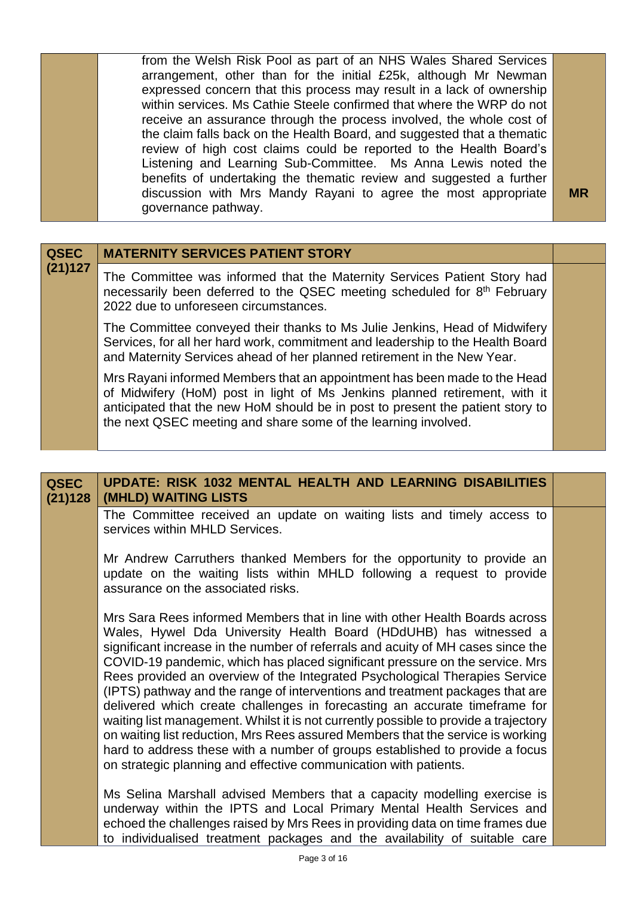from the Welsh Risk Pool as part of an NHS Wales Shared Services arrangement, other than for the initial £25k, although Mr Newman expressed concern that this process may result in a lack of ownership within services. Ms Cathie Steele confirmed that where the WRP do not receive an assurance through the process involved, the whole cost of the claim falls back on the Health Board, and suggested that a thematic review of high cost claims could be reported to the Health Board's Listening and Learning Sub-Committee. Ms Anna Lewis noted the benefits of undertaking the thematic review and suggested a further discussion with Mrs Mandy Rayani to agree the most appropriate governance pathway.

**MR**

| <b>QSEC</b> | <b>MATERNITY SERVICES PATIENT STORY</b>                                                                                                                                                                                                                                                                     |  |
|-------------|-------------------------------------------------------------------------------------------------------------------------------------------------------------------------------------------------------------------------------------------------------------------------------------------------------------|--|
| (21)127     | The Committee was informed that the Maternity Services Patient Story had<br>necessarily been deferred to the QSEC meeting scheduled for 8th February<br>2022 due to unforeseen circumstances.                                                                                                               |  |
|             | The Committee conveyed their thanks to Ms Julie Jenkins, Head of Midwifery<br>Services, for all her hard work, commitment and leadership to the Health Board<br>and Maternity Services ahead of her planned retirement in the New Year.                                                                     |  |
|             | Mrs Rayani informed Members that an appointment has been made to the Head<br>of Midwifery (HoM) post in light of Ms Jenkins planned retirement, with it<br>anticipated that the new HoM should be in post to present the patient story to<br>the next QSEC meeting and share some of the learning involved. |  |

**QSEC (21)128 UPDATE: RISK 1032 MENTAL HEALTH AND LEARNING DISABILITIES (MHLD) WAITING LISTS** The Committee received an update on waiting lists and timely access to services within MHLD Services. Mr Andrew Carruthers thanked Members for the opportunity to provide an update on the waiting lists within MHLD following a request to provide assurance on the associated risks. Mrs Sara Rees informed Members that in line with other Health Boards across Wales, Hywel Dda University Health Board (HDdUHB) has witnessed a significant increase in the number of referrals and acuity of MH cases since the COVID-19 pandemic, which has placed significant pressure on the service. Mrs Rees provided an overview of the Integrated Psychological Therapies Service (IPTS) pathway and the range of interventions and treatment packages that are delivered which create challenges in forecasting an accurate timeframe for waiting list management. Whilst it is not currently possible to provide a trajectory on waiting list reduction, Mrs Rees assured Members that the service is working hard to address these with a number of groups established to provide a focus on strategic planning and effective communication with patients. Ms Selina Marshall advised Members that a capacity modelling exercise is underway within the IPTS and Local Primary Mental Health Services and echoed the challenges raised by Mrs Rees in providing data on time frames due to individualised treatment packages and the availability of suitable care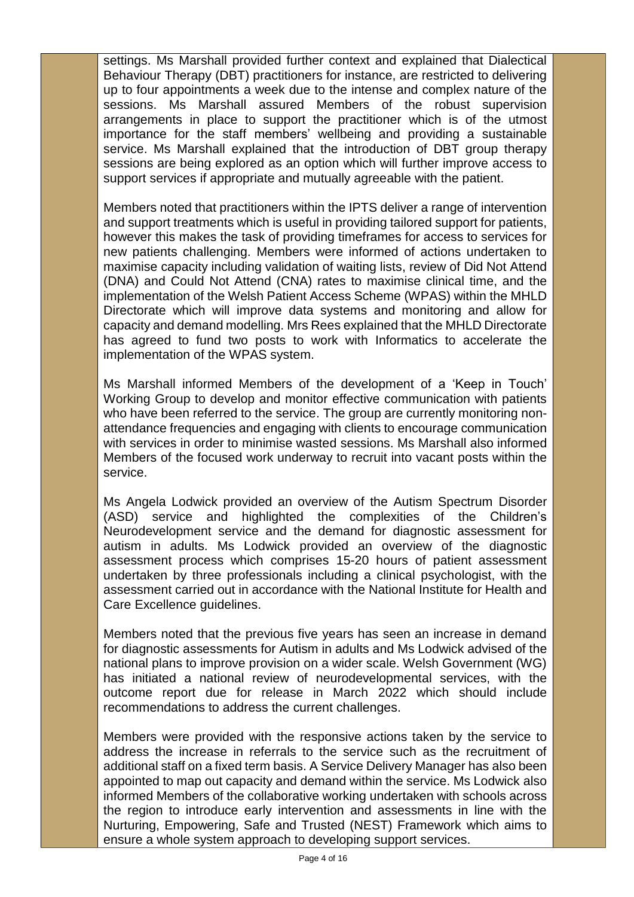settings. Ms Marshall provided further context and explained that Dialectical Behaviour Therapy (DBT) practitioners for instance, are restricted to delivering up to four appointments a week due to the intense and complex nature of the sessions. Ms Marshall assured Members of the robust supervision arrangements in place to support the practitioner which is of the utmost importance for the staff members' wellbeing and providing a sustainable service. Ms Marshall explained that the introduction of DBT group therapy sessions are being explored as an option which will further improve access to support services if appropriate and mutually agreeable with the patient.

Members noted that practitioners within the IPTS deliver a range of intervention and support treatments which is useful in providing tailored support for patients, however this makes the task of providing timeframes for access to services for new patients challenging. Members were informed of actions undertaken to maximise capacity including validation of waiting lists, review of Did Not Attend (DNA) and Could Not Attend (CNA) rates to maximise clinical time, and the implementation of the Welsh Patient Access Scheme (WPAS) within the MHLD Directorate which will improve data systems and monitoring and allow for capacity and demand modelling. Mrs Rees explained that the MHLD Directorate has agreed to fund two posts to work with Informatics to accelerate the implementation of the WPAS system.

Ms Marshall informed Members of the development of a 'Keep in Touch' Working Group to develop and monitor effective communication with patients who have been referred to the service. The group are currently monitoring nonattendance frequencies and engaging with clients to encourage communication with services in order to minimise wasted sessions. Ms Marshall also informed Members of the focused work underway to recruit into vacant posts within the service.

Ms Angela Lodwick provided an overview of the Autism Spectrum Disorder (ASD) service and highlighted the complexities of the Children's Neurodevelopment service and the demand for diagnostic assessment for autism in adults. Ms Lodwick provided an overview of the diagnostic assessment process which comprises 15-20 hours of patient assessment undertaken by three professionals including a clinical psychologist, with the assessment carried out in accordance with the National Institute for Health and Care Excellence guidelines.

Members noted that the previous five years has seen an increase in demand for diagnostic assessments for Autism in adults and Ms Lodwick advised of the national plans to improve provision on a wider scale. Welsh Government (WG) has initiated a national review of neurodevelopmental services, with the outcome report due for release in March 2022 which should include recommendations to address the current challenges.

Members were provided with the responsive actions taken by the service to address the increase in referrals to the service such as the recruitment of additional staff on a fixed term basis. A Service Delivery Manager has also been appointed to map out capacity and demand within the service. Ms Lodwick also informed Members of the collaborative working undertaken with schools across the region to introduce early intervention and assessments in line with the Nurturing, Empowering, Safe and Trusted (NEST) Framework which aims to ensure a whole system approach to developing support services.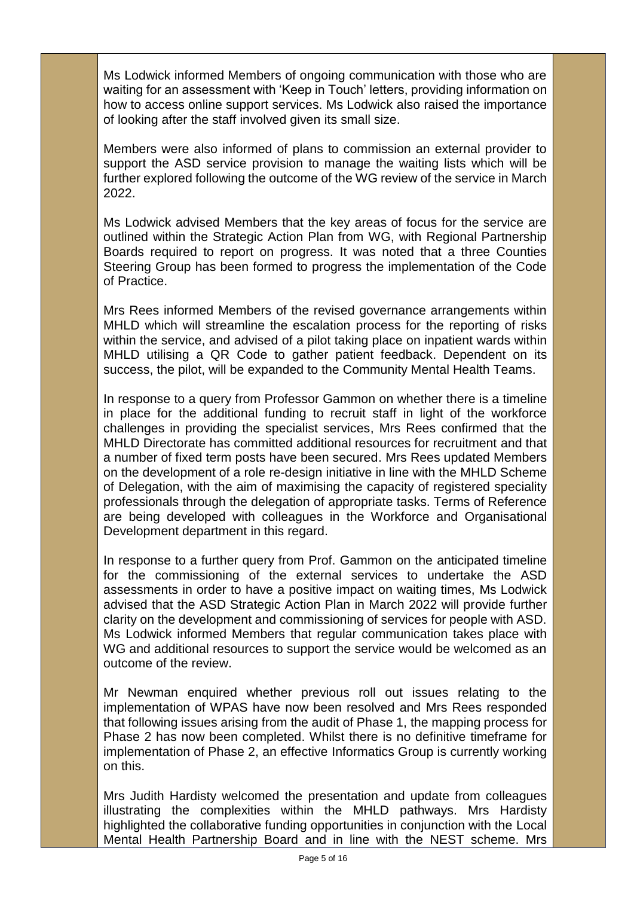Ms Lodwick informed Members of ongoing communication with those who are waiting for an assessment with 'Keep in Touch' letters, providing information on how to access online support services. Ms Lodwick also raised the importance of looking after the staff involved given its small size.

Members were also informed of plans to commission an external provider to support the ASD service provision to manage the waiting lists which will be further explored following the outcome of the WG review of the service in March 2022.

Ms Lodwick advised Members that the key areas of focus for the service are outlined within the Strategic Action Plan from WG, with Regional Partnership Boards required to report on progress. It was noted that a three Counties Steering Group has been formed to progress the implementation of the Code of Practice.

Mrs Rees informed Members of the revised governance arrangements within MHLD which will streamline the escalation process for the reporting of risks within the service, and advised of a pilot taking place on inpatient wards within MHLD utilising a QR Code to gather patient feedback. Dependent on its success, the pilot, will be expanded to the Community Mental Health Teams.

In response to a query from Professor Gammon on whether there is a timeline in place for the additional funding to recruit staff in light of the workforce challenges in providing the specialist services, Mrs Rees confirmed that the MHLD Directorate has committed additional resources for recruitment and that a number of fixed term posts have been secured. Mrs Rees updated Members on the development of a role re-design initiative in line with the MHLD Scheme of Delegation, with the aim of maximising the capacity of registered speciality professionals through the delegation of appropriate tasks. Terms of Reference are being developed with colleagues in the Workforce and Organisational Development department in this regard.

In response to a further query from Prof. Gammon on the anticipated timeline for the commissioning of the external services to undertake the ASD assessments in order to have a positive impact on waiting times, Ms Lodwick advised that the ASD Strategic Action Plan in March 2022 will provide further clarity on the development and commissioning of services for people with ASD. Ms Lodwick informed Members that regular communication takes place with WG and additional resources to support the service would be welcomed as an outcome of the review.

Mr Newman enquired whether previous roll out issues relating to the implementation of WPAS have now been resolved and Mrs Rees responded that following issues arising from the audit of Phase 1, the mapping process for Phase 2 has now been completed. Whilst there is no definitive timeframe for implementation of Phase 2, an effective Informatics Group is currently working on this.

Mrs Judith Hardisty welcomed the presentation and update from colleagues illustrating the complexities within the MHLD pathways. Mrs Hardisty highlighted the collaborative funding opportunities in conjunction with the Local Mental Health Partnership Board and in line with the NEST scheme. Mrs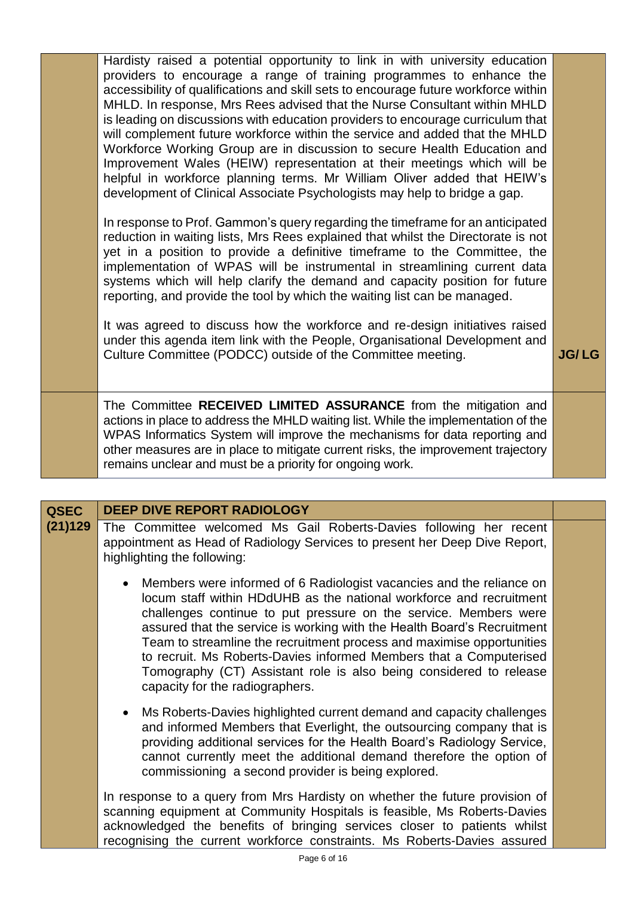|  | Hardisty raised a potential opportunity to link in with university education<br>providers to encourage a range of training programmes to enhance the<br>accessibility of qualifications and skill sets to encourage future workforce within<br>MHLD. In response, Mrs Rees advised that the Nurse Consultant within MHLD<br>is leading on discussions with education providers to encourage curriculum that<br>will complement future workforce within the service and added that the MHLD<br>Workforce Working Group are in discussion to secure Health Education and<br>Improvement Wales (HEIW) representation at their meetings which will be<br>helpful in workforce planning terms. Mr William Oliver added that HEIW's<br>development of Clinical Associate Psychologists may help to bridge a gap.<br>In response to Prof. Gammon's query regarding the timeframe for an anticipated<br>reduction in waiting lists, Mrs Rees explained that whilst the Directorate is not<br>yet in a position to provide a definitive timeframe to the Committee, the<br>implementation of WPAS will be instrumental in streamlining current data<br>systems which will help clarify the demand and capacity position for future<br>reporting, and provide the tool by which the waiting list can be managed.<br>It was agreed to discuss how the workforce and re-design initiatives raised<br>under this agenda item link with the People, Organisational Development and |              |
|--|----------------------------------------------------------------------------------------------------------------------------------------------------------------------------------------------------------------------------------------------------------------------------------------------------------------------------------------------------------------------------------------------------------------------------------------------------------------------------------------------------------------------------------------------------------------------------------------------------------------------------------------------------------------------------------------------------------------------------------------------------------------------------------------------------------------------------------------------------------------------------------------------------------------------------------------------------------------------------------------------------------------------------------------------------------------------------------------------------------------------------------------------------------------------------------------------------------------------------------------------------------------------------------------------------------------------------------------------------------------------------------------------------------------------------------------------------------------------|--------------|
|  | Culture Committee (PODCC) outside of the Committee meeting.                                                                                                                                                                                                                                                                                                                                                                                                                                                                                                                                                                                                                                                                                                                                                                                                                                                                                                                                                                                                                                                                                                                                                                                                                                                                                                                                                                                                          | <b>JG/LG</b> |
|  | The Committee RECEIVED LIMITED ASSURANCE from the mitigation and<br>actions in place to address the MHLD waiting list. While the implementation of the<br>WPAS Informatics System will improve the mechanisms for data reporting and<br>other measures are in place to mitigate current risks, the improvement trajectory<br>remains unclear and must be a priority for ongoing work.                                                                                                                                                                                                                                                                                                                                                                                                                                                                                                                                                                                                                                                                                                                                                                                                                                                                                                                                                                                                                                                                                |              |

| <b>QSEC</b> | <b>DEEP DIVE REPORT RADIOLOGY</b>                                                                                                                                                                                                                                                                                                                                                                                                                                                                                                                    |  |
|-------------|------------------------------------------------------------------------------------------------------------------------------------------------------------------------------------------------------------------------------------------------------------------------------------------------------------------------------------------------------------------------------------------------------------------------------------------------------------------------------------------------------------------------------------------------------|--|
| (21)129     | The Committee welcomed Ms Gail Roberts-Davies following her recent<br>appointment as Head of Radiology Services to present her Deep Dive Report,<br>highlighting the following:                                                                                                                                                                                                                                                                                                                                                                      |  |
|             | • Members were informed of 6 Radiologist vacancies and the reliance on<br>locum staff within HDdUHB as the national workforce and recruitment<br>challenges continue to put pressure on the service. Members were<br>assured that the service is working with the Health Board's Recruitment<br>Team to streamline the recruitment process and maximise opportunities<br>to recruit. Ms Roberts-Davies informed Members that a Computerised<br>Tomography (CT) Assistant role is also being considered to release<br>capacity for the radiographers. |  |
|             | Ms Roberts-Davies highlighted current demand and capacity challenges<br>and informed Members that Everlight, the outsourcing company that is<br>providing additional services for the Health Board's Radiology Service,<br>cannot currently meet the additional demand therefore the option of<br>commissioning a second provider is being explored.                                                                                                                                                                                                 |  |
|             | In response to a query from Mrs Hardisty on whether the future provision of<br>scanning equipment at Community Hospitals is feasible, Ms Roberts-Davies<br>acknowledged the benefits of bringing services closer to patients whilst<br>recognising the current workforce constraints. Ms Roberts-Davies assured                                                                                                                                                                                                                                      |  |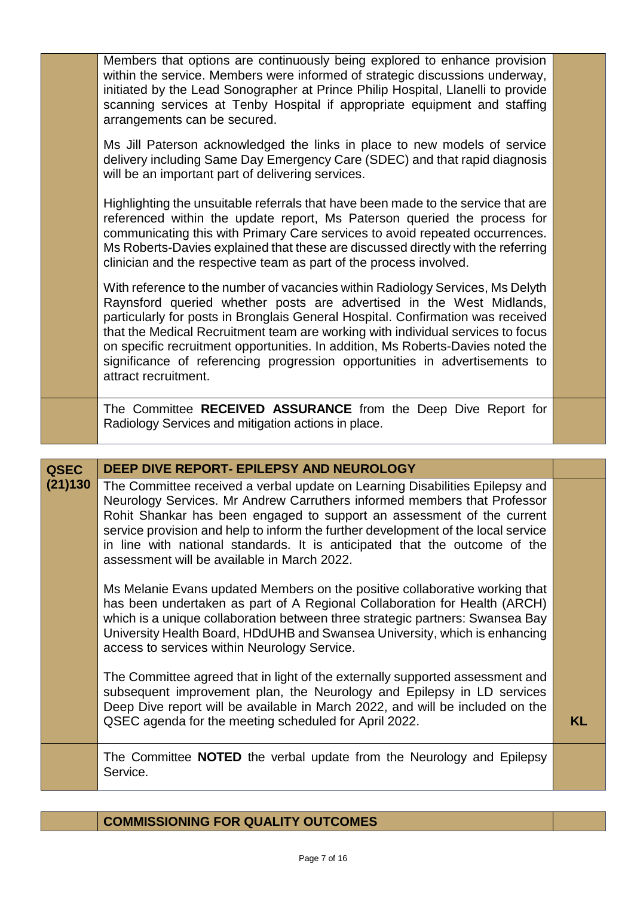|  | Members that options are continuously being explored to enhance provision<br>within the service. Members were informed of strategic discussions underway,<br>initiated by the Lead Sonographer at Prince Philip Hospital, Llanelli to provide<br>scanning services at Tenby Hospital if appropriate equipment and staffing<br>arrangements can be secured.                                                                                                                                                            |  |
|--|-----------------------------------------------------------------------------------------------------------------------------------------------------------------------------------------------------------------------------------------------------------------------------------------------------------------------------------------------------------------------------------------------------------------------------------------------------------------------------------------------------------------------|--|
|  | Ms Jill Paterson acknowledged the links in place to new models of service<br>delivery including Same Day Emergency Care (SDEC) and that rapid diagnosis<br>will be an important part of delivering services.                                                                                                                                                                                                                                                                                                          |  |
|  | Highlighting the unsuitable referrals that have been made to the service that are<br>referenced within the update report, Ms Paterson queried the process for<br>communicating this with Primary Care services to avoid repeated occurrences.<br>Ms Roberts-Davies explained that these are discussed directly with the referring<br>clinician and the respective team as part of the process involved.                                                                                                               |  |
|  | With reference to the number of vacancies within Radiology Services, Ms Delyth<br>Raynsford queried whether posts are advertised in the West Midlands,<br>particularly for posts in Bronglais General Hospital. Confirmation was received<br>that the Medical Recruitment team are working with individual services to focus<br>on specific recruitment opportunities. In addition, Ms Roberts-Davies noted the<br>significance of referencing progression opportunities in advertisements to<br>attract recruitment. |  |
|  | The Committee RECEIVED ASSURANCE from the Deep Dive Report for<br>Radiology Services and mitigation actions in place.                                                                                                                                                                                                                                                                                                                                                                                                 |  |

| <b>QSEC</b> | DEEP DIVE REPORT- EPILEPSY AND NEUROLOGY                                                                                                                                                                                                                                                                                                                                                                                                             |    |
|-------------|------------------------------------------------------------------------------------------------------------------------------------------------------------------------------------------------------------------------------------------------------------------------------------------------------------------------------------------------------------------------------------------------------------------------------------------------------|----|
| (21)130     | The Committee received a verbal update on Learning Disabilities Epilepsy and<br>Neurology Services. Mr Andrew Carruthers informed members that Professor<br>Rohit Shankar has been engaged to support an assessment of the current<br>service provision and help to inform the further development of the local service<br>in line with national standards. It is anticipated that the outcome of the<br>assessment will be available in March 2022. |    |
|             | Ms Melanie Evans updated Members on the positive collaborative working that<br>has been undertaken as part of A Regional Collaboration for Health (ARCH)<br>which is a unique collaboration between three strategic partners: Swansea Bay<br>University Health Board, HDdUHB and Swansea University, which is enhancing<br>access to services within Neurology Service.                                                                              |    |
|             | The Committee agreed that in light of the externally supported assessment and<br>subsequent improvement plan, the Neurology and Epilepsy in LD services<br>Deep Dive report will be available in March 2022, and will be included on the<br>QSEC agenda for the meeting scheduled for April 2022.                                                                                                                                                    | KL |
|             | The Committee <b>NOTED</b> the verbal update from the Neurology and Epilepsy<br>Service.                                                                                                                                                                                                                                                                                                                                                             |    |

## **COMMISSIONING FOR QUALITY OUTCOMES**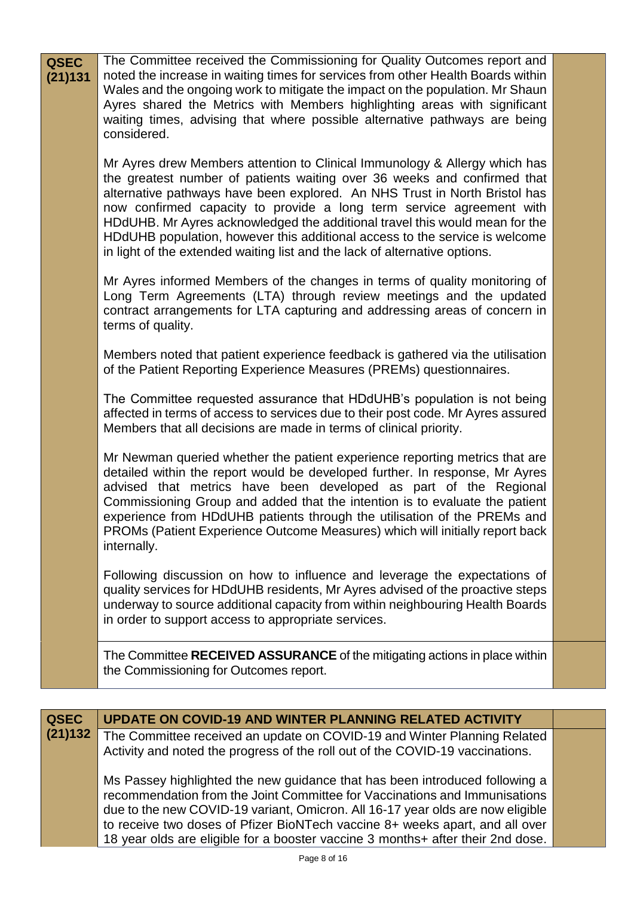| <b>QSEC</b><br>(21)131 | The Committee received the Commissioning for Quality Outcomes report and<br>noted the increase in waiting times for services from other Health Boards within<br>Wales and the ongoing work to mitigate the impact on the population. Mr Shaun<br>Ayres shared the Metrics with Members highlighting areas with significant<br>waiting times, advising that where possible alternative pathways are being<br>considered.                                                                                                                                  |  |
|------------------------|----------------------------------------------------------------------------------------------------------------------------------------------------------------------------------------------------------------------------------------------------------------------------------------------------------------------------------------------------------------------------------------------------------------------------------------------------------------------------------------------------------------------------------------------------------|--|
|                        | Mr Ayres drew Members attention to Clinical Immunology & Allergy which has<br>the greatest number of patients waiting over 36 weeks and confirmed that<br>alternative pathways have been explored. An NHS Trust in North Bristol has<br>now confirmed capacity to provide a long term service agreement with<br>HDdUHB. Mr Ayres acknowledged the additional travel this would mean for the<br>HDdUHB population, however this additional access to the service is welcome<br>in light of the extended waiting list and the lack of alternative options. |  |
|                        | Mr Ayres informed Members of the changes in terms of quality monitoring of<br>Long Term Agreements (LTA) through review meetings and the updated<br>contract arrangements for LTA capturing and addressing areas of concern in<br>terms of quality.                                                                                                                                                                                                                                                                                                      |  |
|                        | Members noted that patient experience feedback is gathered via the utilisation<br>of the Patient Reporting Experience Measures (PREMs) questionnaires.                                                                                                                                                                                                                                                                                                                                                                                                   |  |
|                        | The Committee requested assurance that HDdUHB's population is not being<br>affected in terms of access to services due to their post code. Mr Ayres assured<br>Members that all decisions are made in terms of clinical priority.                                                                                                                                                                                                                                                                                                                        |  |
|                        | Mr Newman queried whether the patient experience reporting metrics that are<br>detailed within the report would be developed further. In response, Mr Ayres<br>advised that metrics have been developed as part of the Regional<br>Commissioning Group and added that the intention is to evaluate the patient<br>experience from HDdUHB patients through the utilisation of the PREMs and<br>PROMs (Patient Experience Outcome Measures) which will initially report back<br>internally.                                                                |  |
|                        | Following discussion on how to influence and leverage the expectations of<br>quality services for HDdUHB residents, Mr Ayres advised of the proactive steps<br>underway to source additional capacity from within neighbouring Health Boards<br>in order to support access to appropriate services.                                                                                                                                                                                                                                                      |  |
|                        | The Committee RECEIVED ASSURANCE of the mitigating actions in place within<br>the Commissioning for Outcomes report.                                                                                                                                                                                                                                                                                                                                                                                                                                     |  |
|                        |                                                                                                                                                                                                                                                                                                                                                                                                                                                                                                                                                          |  |
| <b>QSEC</b>            | <b>UPDATE ON COVID-19 AND WINTER PLANNING RELATED ACTIVITY</b>                                                                                                                                                                                                                                                                                                                                                                                                                                                                                           |  |

| (21)132 The Committee received an update on COVID-19 and Winter Planning Related |
|----------------------------------------------------------------------------------|
| Activity and noted the progress of the roll out of the COVID-19 vaccinations.    |

Ms Passey highlighted the new guidance that has been introduced following a recommendation from the Joint Committee for Vaccinations and Immunisations due to the new COVID-19 variant, Omicron. All 16-17 year olds are now eligible to receive two doses of Pfizer BioNTech vaccine 8+ weeks apart, and all over 18 year olds are eligible for a booster vaccine 3 months+ after their 2nd dose.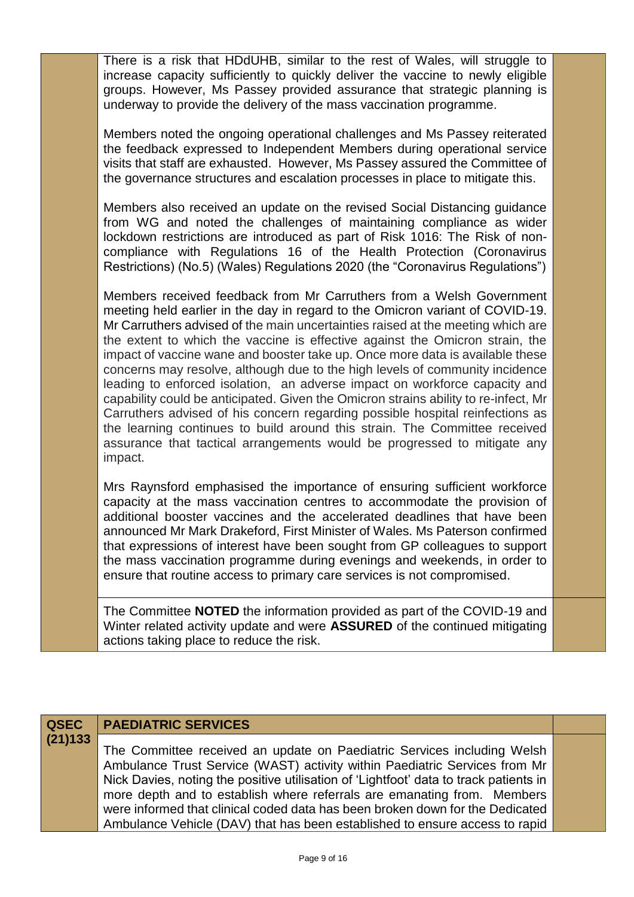There is a risk that HDdUHB, similar to the rest of Wales, will struggle to increase capacity sufficiently to quickly deliver the vaccine to newly eligible groups. However, Ms Passey provided assurance that strategic planning is underway to provide the delivery of the mass vaccination programme.

Members noted the ongoing operational challenges and Ms Passey reiterated the feedback expressed to Independent Members during operational service visits that staff are exhausted. However, Ms Passey assured the Committee of the governance structures and escalation processes in place to mitigate this.

Members also received an update on the revised Social Distancing guidance from WG and noted the challenges of maintaining compliance as wider lockdown restrictions are introduced as part of Risk 1016: The Risk of noncompliance with Regulations 16 of the Health Protection (Coronavirus Restrictions) (No.5) (Wales) Regulations 2020 (the "Coronavirus Regulations")

Members received feedback from Mr Carruthers from a Welsh Government meeting held earlier in the day in regard to the Omicron variant of COVID-19. Mr Carruthers advised of the main uncertainties raised at the meeting which are the extent to which the vaccine is effective against the Omicron strain, the impact of vaccine wane and booster take up. Once more data is available these concerns may resolve, although due to the high levels of community incidence leading to enforced isolation, an adverse impact on workforce capacity and capability could be anticipated. Given the Omicron strains ability to re-infect, Mr Carruthers advised of his concern regarding possible hospital reinfections as the learning continues to build around this strain. The Committee received assurance that tactical arrangements would be progressed to mitigate any impact.

Mrs Raynsford emphasised the importance of ensuring sufficient workforce capacity at the mass vaccination centres to accommodate the provision of additional booster vaccines and the accelerated deadlines that have been announced Mr Mark Drakeford, First Minister of Wales. Ms Paterson confirmed that expressions of interest have been sought from GP colleagues to support the mass vaccination programme during evenings and weekends, in order to ensure that routine access to primary care services is not compromised.

The Committee **NOTED** the information provided as part of the COVID-19 and Winter related activity update and were **ASSURED** of the continued mitigating actions taking place to reduce the risk.

## **QSEC (21)133 PAEDIATRIC SERVICES**

The Committee received an update on Paediatric Services including Welsh Ambulance Trust Service (WAST) activity within Paediatric Services from Mr Nick Davies, noting the positive utilisation of 'Lightfoot' data to track patients in more depth and to establish where referrals are emanating from. Members were informed that clinical coded data has been broken down for the Dedicated Ambulance Vehicle (DAV) that has been established to ensure access to rapid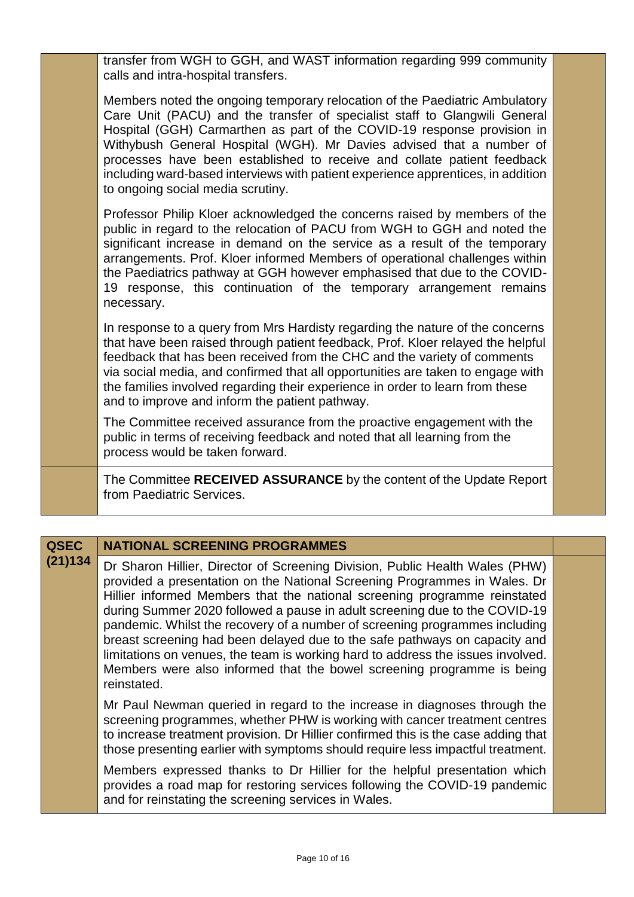transfer from WGH to GGH, and WAST information regarding 999 community calls and intra-hospital transfers.

Members noted the ongoing temporary relocation of the Paediatric Ambulatory Care Unit (PACU) and the transfer of specialist staff to Glangwili General Hospital (GGH) Carmarthen as part of the COVID-19 response provision in Withybush General Hospital (WGH). Mr Davies advised that a number of processes have been established to receive and collate patient feedback including ward-based interviews with patient experience apprentices, in addition to ongoing social media scrutiny.

Professor Philip Kloer acknowledged the concerns raised by members of the public in regard to the relocation of PACU from WGH to GGH and noted the significant increase in demand on the service as a result of the temporary arrangements. Prof. Kloer informed Members of operational challenges within the Paediatrics pathway at GGH however emphasised that due to the COVID-19 response, this continuation of the temporary arrangement remains necessary.

In response to a query from Mrs Hardisty regarding the nature of the concerns that have been raised through patient feedback, Prof. Kloer relayed the helpful feedback that has been received from the CHC and the variety of comments via social media, and confirmed that all opportunities are taken to engage with the families involved regarding their experience in order to learn from these and to improve and inform the patient pathway.

The Committee received assurance from the proactive engagement with the public in terms of receiving feedback and noted that all learning from the process would be taken forward.

The Committee **RECEIVED ASSURANCE** by the content of the Update Report from Paediatric Services.

## **QSEC NATIONAL SCREENING PROGRAMMES**

**(21)134** Dr Sharon Hillier, Director of Screening Division, Public Health Wales (PHW) provided a presentation on the National Screening Programmes in Wales. Dr Hillier informed Members that the national screening programme reinstated during Summer 2020 followed a pause in adult screening due to the COVID-19 pandemic. Whilst the recovery of a number of screening programmes including breast screening had been delayed due to the safe pathways on capacity and limitations on venues, the team is working hard to address the issues involved. Members were also informed that the bowel screening programme is being reinstated.

> Mr Paul Newman queried in regard to the increase in diagnoses through the screening programmes, whether PHW is working with cancer treatment centres to increase treatment provision. Dr Hillier confirmed this is the case adding that those presenting earlier with symptoms should require less impactful treatment.

> Members expressed thanks to Dr Hillier for the helpful presentation which provides a road map for restoring services following the COVID-19 pandemic and for reinstating the screening services in Wales.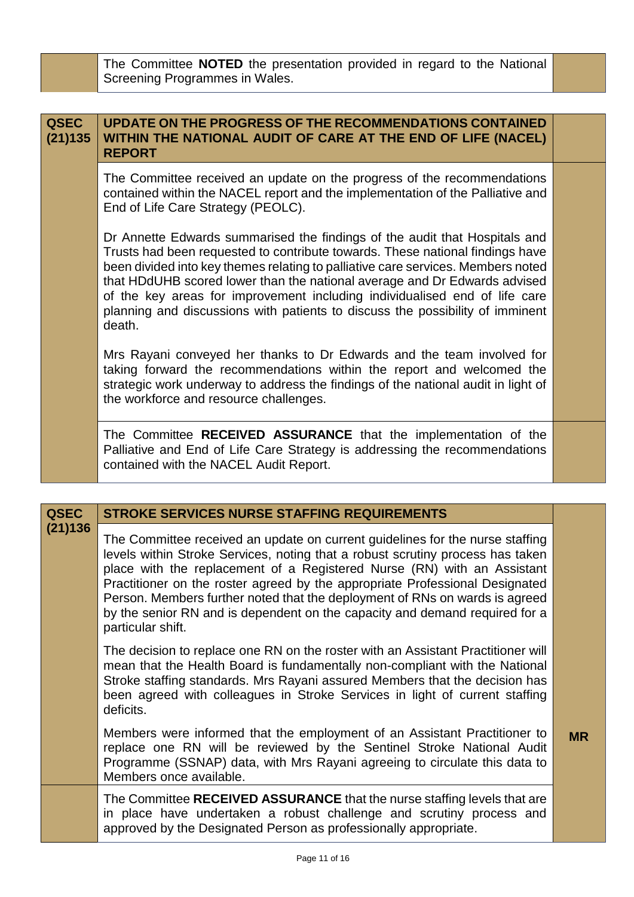The Committee **NOTED** the presentation provided in regard to the National Screening Programmes in Wales.

| <b>QSEC</b><br>(21)135 | <b>UPDATE ON THE PROGRESS OF THE RECOMMENDATIONS CONTAINED</b><br>WITHIN THE NATIONAL AUDIT OF CARE AT THE END OF LIFE (NACEL)<br><b>REPORT</b>                                                                                                                                                                                                                                                                                                                                                       |  |
|------------------------|-------------------------------------------------------------------------------------------------------------------------------------------------------------------------------------------------------------------------------------------------------------------------------------------------------------------------------------------------------------------------------------------------------------------------------------------------------------------------------------------------------|--|
|                        | The Committee received an update on the progress of the recommendations<br>contained within the NACEL report and the implementation of the Palliative and<br>End of Life Care Strategy (PEOLC).                                                                                                                                                                                                                                                                                                       |  |
|                        | Dr Annette Edwards summarised the findings of the audit that Hospitals and<br>Trusts had been requested to contribute towards. These national findings have<br>been divided into key themes relating to palliative care services. Members noted<br>that HDdUHB scored lower than the national average and Dr Edwards advised<br>of the key areas for improvement including individualised end of life care<br>planning and discussions with patients to discuss the possibility of imminent<br>death. |  |
|                        | Mrs Rayani conveyed her thanks to Dr Edwards and the team involved for<br>taking forward the recommendations within the report and welcomed the<br>strategic work underway to address the findings of the national audit in light of<br>the workforce and resource challenges.                                                                                                                                                                                                                        |  |
|                        | The Committee RECEIVED ASSURANCE that the implementation of the<br>Palliative and End of Life Care Strategy is addressing the recommendations<br>contained with the NACEL Audit Report.                                                                                                                                                                                                                                                                                                               |  |

| <b>QSEC</b> | <b>STROKE SERVICES NURSE STAFFING REQUIREMENTS</b>                                                                                                                                                                                                                                                                                                                                                                                                                                                            |           |
|-------------|---------------------------------------------------------------------------------------------------------------------------------------------------------------------------------------------------------------------------------------------------------------------------------------------------------------------------------------------------------------------------------------------------------------------------------------------------------------------------------------------------------------|-----------|
| (21)136     | The Committee received an update on current guidelines for the nurse staffing<br>levels within Stroke Services, noting that a robust scrutiny process has taken<br>place with the replacement of a Registered Nurse (RN) with an Assistant<br>Practitioner on the roster agreed by the appropriate Professional Designated<br>Person. Members further noted that the deployment of RNs on wards is agreed<br>by the senior RN and is dependent on the capacity and demand required for a<br>particular shift. |           |
|             | The decision to replace one RN on the roster with an Assistant Practitioner will<br>mean that the Health Board is fundamentally non-compliant with the National<br>Stroke staffing standards. Mrs Rayani assured Members that the decision has<br>been agreed with colleagues in Stroke Services in light of current staffing<br>deficits.                                                                                                                                                                    |           |
|             | Members were informed that the employment of an Assistant Practitioner to<br>replace one RN will be reviewed by the Sentinel Stroke National Audit<br>Programme (SSNAP) data, with Mrs Rayani agreeing to circulate this data to<br>Members once available.                                                                                                                                                                                                                                                   | <b>MR</b> |
|             | The Committee RECEIVED ASSURANCE that the nurse staffing levels that are<br>in place have undertaken a robust challenge and scrutiny process and<br>approved by the Designated Person as professionally appropriate.                                                                                                                                                                                                                                                                                          |           |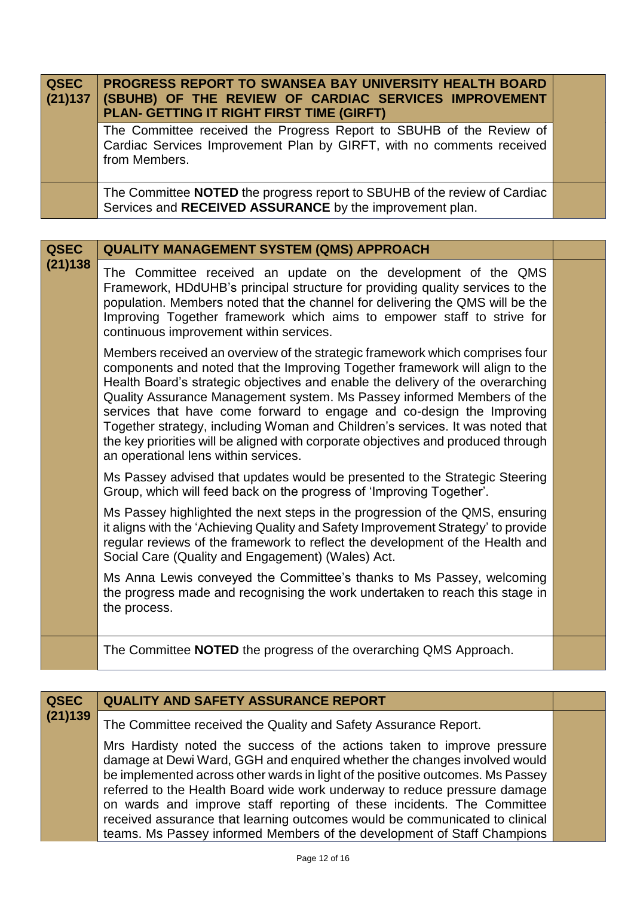| QSEC<br>(21)137 | <b>PROGRESS REPORT TO SWANSEA BAY UNIVERSITY HEALTH BOARD</b><br>(SBUHB) OF THE REVIEW OF CARDIAC SERVICES IMPROVEMENT<br>PLAN- GETTING IT RIGHT FIRST TIME (GIRFT) |  |
|-----------------|---------------------------------------------------------------------------------------------------------------------------------------------------------------------|--|
|                 | The Committee received the Progress Report to SBUHB of the Review of<br>Cardiac Services Improvement Plan by GIRFT, with no comments received<br>from Members.      |  |
|                 | The Committee NOTED the progress report to SBUHB of the review of Cardiac<br>Services and RECEIVED ASSURANCE by the improvement plan.                               |  |

| <b>QSEC</b> | <b>QUALITY MANAGEMENT SYSTEM (QMS) APPROACH</b>                                                                                                                                                                                                                                                                                                                                                                                                                                                                                                                                                                 |  |
|-------------|-----------------------------------------------------------------------------------------------------------------------------------------------------------------------------------------------------------------------------------------------------------------------------------------------------------------------------------------------------------------------------------------------------------------------------------------------------------------------------------------------------------------------------------------------------------------------------------------------------------------|--|
| (21)138     | The Committee received an update on the development of the QMS<br>Framework, HDdUHB's principal structure for providing quality services to the<br>population. Members noted that the channel for delivering the QMS will be the<br>Improving Together framework which aims to empower staff to strive for<br>continuous improvement within services.                                                                                                                                                                                                                                                           |  |
|             | Members received an overview of the strategic framework which comprises four<br>components and noted that the Improving Together framework will align to the<br>Health Board's strategic objectives and enable the delivery of the overarching<br>Quality Assurance Management system. Ms Passey informed Members of the<br>services that have come forward to engage and co-design the Improving<br>Together strategy, including Woman and Children's services. It was noted that<br>the key priorities will be aligned with corporate objectives and produced through<br>an operational lens within services. |  |
|             | Ms Passey advised that updates would be presented to the Strategic Steering<br>Group, which will feed back on the progress of 'Improving Together'.                                                                                                                                                                                                                                                                                                                                                                                                                                                             |  |
|             | Ms Passey highlighted the next steps in the progression of the QMS, ensuring<br>it aligns with the 'Achieving Quality and Safety Improvement Strategy' to provide<br>regular reviews of the framework to reflect the development of the Health and<br>Social Care (Quality and Engagement) (Wales) Act.                                                                                                                                                                                                                                                                                                         |  |
|             | Ms Anna Lewis conveyed the Committee's thanks to Ms Passey, welcoming<br>the progress made and recognising the work undertaken to reach this stage in<br>the process.                                                                                                                                                                                                                                                                                                                                                                                                                                           |  |
|             | The Committee <b>NOTED</b> the progress of the overarching QMS Approach.                                                                                                                                                                                                                                                                                                                                                                                                                                                                                                                                        |  |

| <b>QSEC</b><br>(21)139 | <b>QUALITY AND SAFETY ASSURANCE REPORT</b>                                                                                                                                                                                                                                                                                                                                                                                                                                                                                                             |  |
|------------------------|--------------------------------------------------------------------------------------------------------------------------------------------------------------------------------------------------------------------------------------------------------------------------------------------------------------------------------------------------------------------------------------------------------------------------------------------------------------------------------------------------------------------------------------------------------|--|
|                        | The Committee received the Quality and Safety Assurance Report.                                                                                                                                                                                                                                                                                                                                                                                                                                                                                        |  |
|                        | Mrs Hardisty noted the success of the actions taken to improve pressure<br>damage at Dewi Ward, GGH and enquired whether the changes involved would<br>be implemented across other wards in light of the positive outcomes. Ms Passey<br>referred to the Health Board wide work underway to reduce pressure damage<br>on wards and improve staff reporting of these incidents. The Committee<br>received assurance that learning outcomes would be communicated to clinical<br>teams. Ms Passey informed Members of the development of Staff Champions |  |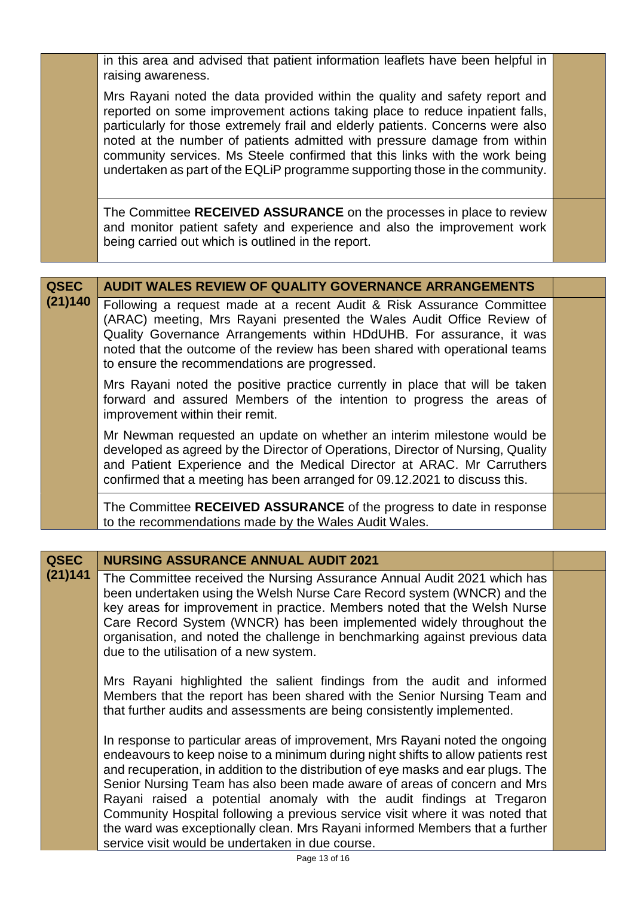in this area and advised that patient information leaflets have been helpful in raising awareness.

Mrs Rayani noted the data provided within the quality and safety report and reported on some improvement actions taking place to reduce inpatient falls, particularly for those extremely frail and elderly patients. Concerns were also noted at the number of patients admitted with pressure damage from within community services. Ms Steele confirmed that this links with the work being undertaken as part of the EQLiP programme supporting those in the community.

The Committee **RECEIVED ASSURANCE** on the processes in place to review and monitor patient safety and experience and also the improvement work being carried out which is outlined in the report.

| <b>QSEC</b> | <b>AUDIT WALES REVIEW OF QUALITY GOVERNANCE ARRANGEMENTS</b>                                                                                                                                                                                                                                                                                           |  |
|-------------|--------------------------------------------------------------------------------------------------------------------------------------------------------------------------------------------------------------------------------------------------------------------------------------------------------------------------------------------------------|--|
| (21)140     | Following a request made at a recent Audit & Risk Assurance Committee<br>(ARAC) meeting, Mrs Rayani presented the Wales Audit Office Review of<br>Quality Governance Arrangements within HDdUHB. For assurance, it was<br>noted that the outcome of the review has been shared with operational teams<br>to ensure the recommendations are progressed. |  |
|             | Mrs Rayani noted the positive practice currently in place that will be taken<br>forward and assured Members of the intention to progress the areas of<br>improvement within their remit.                                                                                                                                                               |  |
|             | Mr Newman requested an update on whether an interim milestone would be<br>developed as agreed by the Director of Operations, Director of Nursing, Quality<br>and Patient Experience and the Medical Director at ARAC. Mr Carruthers<br>confirmed that a meeting has been arranged for 09.12.2021 to discuss this.                                      |  |
|             | The Committee RECEIVED ASSURANCE of the progress to date in response<br>to the recommendations made by the Wales Audit Wales.                                                                                                                                                                                                                          |  |

| <b>QSEC</b> | <b>NURSING ASSURANCE ANNUAL AUDIT 2021</b>                                                                                                                                                                                                                                                                                                                                                                                                                                                                                                                                                                                      |  |
|-------------|---------------------------------------------------------------------------------------------------------------------------------------------------------------------------------------------------------------------------------------------------------------------------------------------------------------------------------------------------------------------------------------------------------------------------------------------------------------------------------------------------------------------------------------------------------------------------------------------------------------------------------|--|
| (21)141     | The Committee received the Nursing Assurance Annual Audit 2021 which has<br>been undertaken using the Welsh Nurse Care Record system (WNCR) and the<br>key areas for improvement in practice. Members noted that the Welsh Nurse<br>Care Record System (WNCR) has been implemented widely throughout the<br>organisation, and noted the challenge in benchmarking against previous data<br>due to the utilisation of a new system.                                                                                                                                                                                              |  |
|             | Mrs Rayani highlighted the salient findings from the audit and informed<br>Members that the report has been shared with the Senior Nursing Team and<br>that further audits and assessments are being consistently implemented.                                                                                                                                                                                                                                                                                                                                                                                                  |  |
|             | In response to particular areas of improvement, Mrs Rayani noted the ongoing<br>endeavours to keep noise to a minimum during night shifts to allow patients rest<br>and recuperation, in addition to the distribution of eye masks and ear plugs. The<br>Senior Nursing Team has also been made aware of areas of concern and Mrs<br>Rayani raised a potential anomaly with the audit findings at Tregaron<br>Community Hospital following a previous service visit where it was noted that<br>the ward was exceptionally clean. Mrs Rayani informed Members that a further<br>service visit would be undertaken in due course. |  |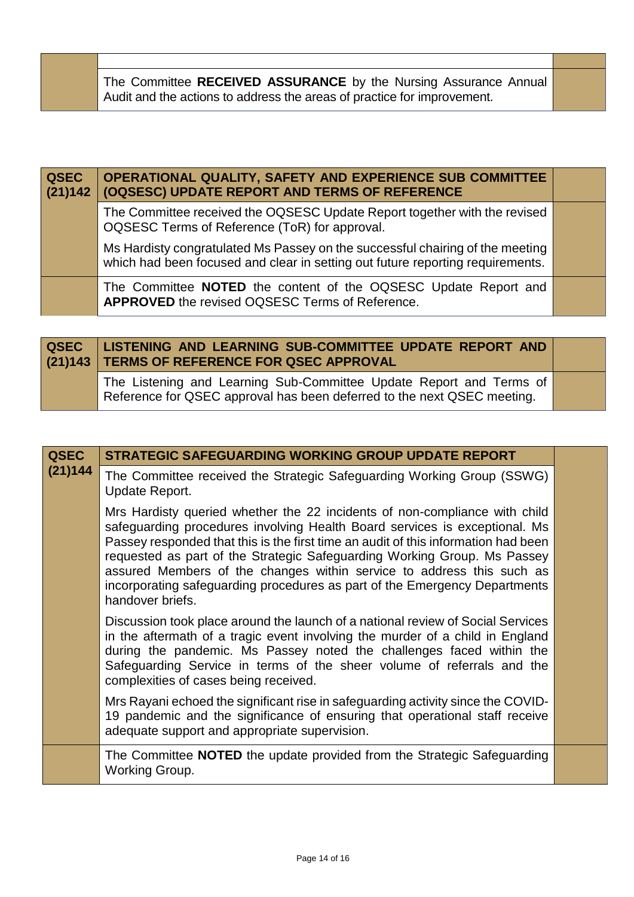| The Committee RECEIVED ASSURANCE by the Nursing Assurance Annual<br>Audit and the actions to address the areas of practice for improvement. |  |
|---------------------------------------------------------------------------------------------------------------------------------------------|--|
|                                                                                                                                             |  |

| QSEC<br>(21)142 | OPERATIONAL QUALITY, SAFETY AND EXPERIENCE SUB COMMITTEE<br>(OQSESC) UPDATE REPORT AND TERMS OF REFERENCE                                                       |  |
|-----------------|-----------------------------------------------------------------------------------------------------------------------------------------------------------------|--|
|                 | The Committee received the OQSESC Update Report together with the revised<br>OQSESC Terms of Reference (ToR) for approval.                                      |  |
|                 | Ms Hardisty congratulated Ms Passey on the successful chairing of the meeting<br>which had been focused and clear in setting out future reporting requirements. |  |
|                 | The Committee NOTED the content of the OQSESC Update Report and<br>APPROVED the revised OQSESC Terms of Reference.                                              |  |

| <b>QSEC</b> | LISTENING AND LEARNING SUB-COMMITTEE UPDATE REPORT AND<br>(21)143 TERMS OF REFERENCE FOR QSEC APPROVAL                                         |  |
|-------------|------------------------------------------------------------------------------------------------------------------------------------------------|--|
|             | The Listening and Learning Sub-Committee Update Report and Terms of<br>Reference for QSEC approval has been deferred to the next QSEC meeting. |  |

| <b>QSEC</b> | <b>STRATEGIC SAFEGUARDING WORKING GROUP UPDATE REPORT</b>                                                                                                                                                                                                                                                                                                                                                                                                                                             |  |
|-------------|-------------------------------------------------------------------------------------------------------------------------------------------------------------------------------------------------------------------------------------------------------------------------------------------------------------------------------------------------------------------------------------------------------------------------------------------------------------------------------------------------------|--|
| (21)144     | The Committee received the Strategic Safeguarding Working Group (SSWG)<br>Update Report.                                                                                                                                                                                                                                                                                                                                                                                                              |  |
|             | Mrs Hardisty queried whether the 22 incidents of non-compliance with child<br>safeguarding procedures involving Health Board services is exceptional. Ms<br>Passey responded that this is the first time an audit of this information had been<br>requested as part of the Strategic Safeguarding Working Group. Ms Passey<br>assured Members of the changes within service to address this such as<br>incorporating safeguarding procedures as part of the Emergency Departments<br>handover briefs. |  |
|             | Discussion took place around the launch of a national review of Social Services<br>in the aftermath of a tragic event involving the murder of a child in England<br>during the pandemic. Ms Passey noted the challenges faced within the<br>Safeguarding Service in terms of the sheer volume of referrals and the<br>complexities of cases being received.                                                                                                                                           |  |
|             | Mrs Rayani echoed the significant rise in safeguarding activity since the COVID-<br>19 pandemic and the significance of ensuring that operational staff receive<br>adequate support and appropriate supervision.                                                                                                                                                                                                                                                                                      |  |
|             | The Committee <b>NOTED</b> the update provided from the Strategic Safeguarding<br>Working Group.                                                                                                                                                                                                                                                                                                                                                                                                      |  |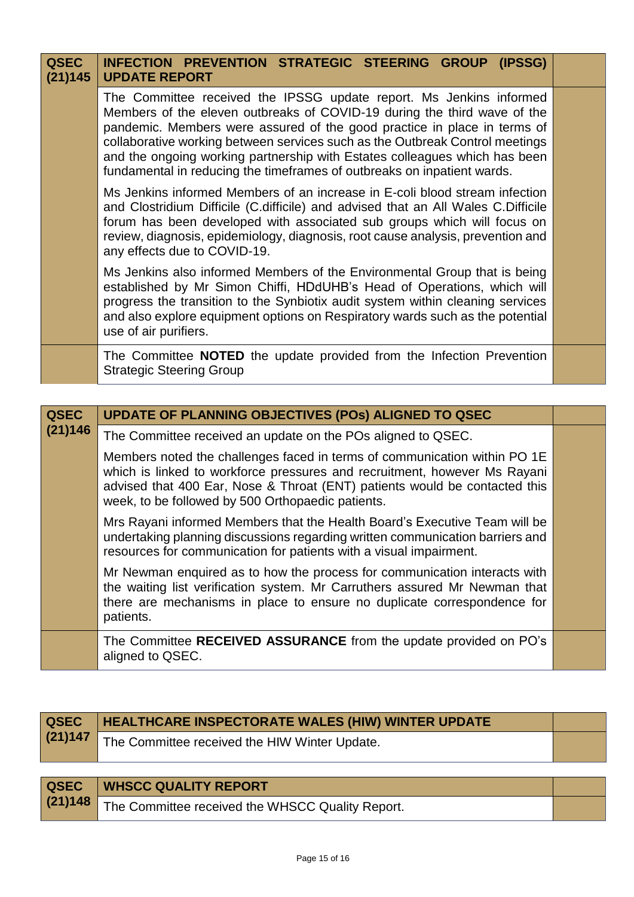| <b>QSEC</b><br>(21)145 | INFECTION PREVENTION STRATEGIC STEERING GROUP (IPSSG)<br><b>UPDATE REPORT</b>                                                                                                                                                                                                                                                                                                                                                                                        |  |
|------------------------|----------------------------------------------------------------------------------------------------------------------------------------------------------------------------------------------------------------------------------------------------------------------------------------------------------------------------------------------------------------------------------------------------------------------------------------------------------------------|--|
|                        | The Committee received the IPSSG update report. Ms Jenkins informed<br>Members of the eleven outbreaks of COVID-19 during the third wave of the<br>pandemic. Members were assured of the good practice in place in terms of<br>collaborative working between services such as the Outbreak Control meetings<br>and the ongoing working partnership with Estates colleagues which has been<br>fundamental in reducing the timeframes of outbreaks on inpatient wards. |  |
|                        | Ms Jenkins informed Members of an increase in E-coli blood stream infection<br>and Clostridium Difficile (C.difficile) and advised that an All Wales C.Difficile<br>forum has been developed with associated sub groups which will focus on<br>review, diagnosis, epidemiology, diagnosis, root cause analysis, prevention and<br>any effects due to COVID-19.                                                                                                       |  |
|                        | Ms Jenkins also informed Members of the Environmental Group that is being<br>established by Mr Simon Chiffi, HDdUHB's Head of Operations, which will<br>progress the transition to the Synbiotix audit system within cleaning services<br>and also explore equipment options on Respiratory wards such as the potential<br>use of air purifiers.                                                                                                                     |  |
|                        | The Committee <b>NOTED</b> the update provided from the Infection Prevention<br><b>Strategic Steering Group</b>                                                                                                                                                                                                                                                                                                                                                      |  |

| <b>QSEC</b> | UPDATE OF PLANNING OBJECTIVES (POS) ALIGNED TO QSEC                                                                                                                                                                                                                                       |  |
|-------------|-------------------------------------------------------------------------------------------------------------------------------------------------------------------------------------------------------------------------------------------------------------------------------------------|--|
| (21)146     | The Committee received an update on the POs aligned to QSEC.                                                                                                                                                                                                                              |  |
|             | Members noted the challenges faced in terms of communication within PO 1E<br>which is linked to workforce pressures and recruitment, however Ms Rayani<br>advised that 400 Ear, Nose & Throat (ENT) patients would be contacted this<br>week, to be followed by 500 Orthopaedic patients. |  |
|             | Mrs Rayani informed Members that the Health Board's Executive Team will be<br>undertaking planning discussions regarding written communication barriers and<br>resources for communication for patients with a visual impairment.                                                         |  |
|             | Mr Newman enquired as to how the process for communication interacts with<br>the waiting list verification system. Mr Carruthers assured Mr Newman that<br>there are mechanisms in place to ensure no duplicate correspondence for<br>patients.                                           |  |
|             | The Committee RECEIVED ASSURANCE from the update provided on PO's<br>aligned to QSEC.                                                                                                                                                                                                     |  |

| QSEC    | <b>HEALTHCARE INSPECTORATE WALES (HIW) WINTER UPDATE</b> |  |
|---------|----------------------------------------------------------|--|
| (21)147 | The Committee received the HIW Winter Update.            |  |
|         |                                                          |  |

| QSEC | <b>WHSCC QUALITY REPORT</b>                              |  |
|------|----------------------------------------------------------|--|
|      | (21)148 The Committee received the WHSCC Quality Report. |  |